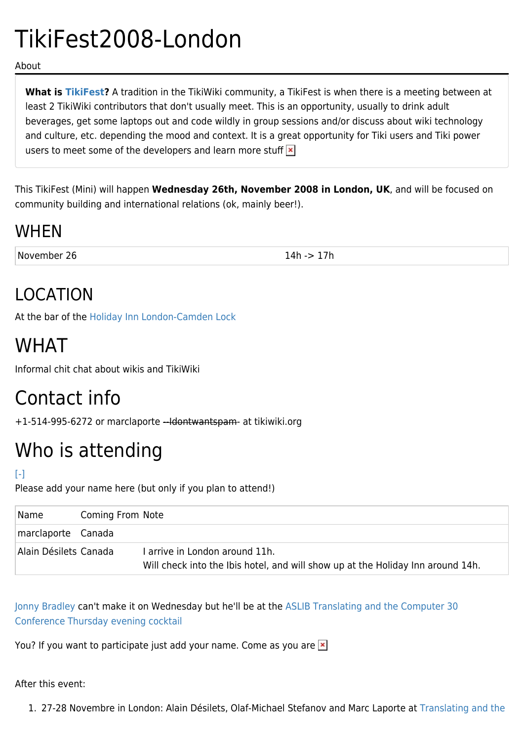# TikiFest2008-London

About

**What is [TikiFest?](https://tiki.org/TikiFest)** A tradition in the TikiWiki community, a TikiFest is when there is a meeting between at least 2 TikiWiki contributors that don't usually meet. This is an opportunity, usually to drink adult beverages, get some laptops out and code wildly in group sessions and/or discuss about wiki technology and culture, etc. depending the mood and context. It is a great opportunity for Tiki users and Tiki power users to meet some of the developers and learn more stuff  $\mathbf{x}$ 

This TikiFest (Mini) will happen **Wednesday 26th, November 2008 in London, UK**, and will be focused on community building and international relations (ok, mainly beer!).

#### WHEN

November 26 14h -> 17h

### LOCATION

At the bar of the [Holiday Inn London-Camden Lock](http://www.holidayinncamden.co.uk/location.html)

## WHAT

Informal chit chat about wikis and TikiWiki

## Contact info

+1-514-995-6272 or marclaporte --Idontwantspam- at tikiwiki.org

# Who is attending

#### [\[-\]](#page--1-0)

Please add your name here (but only if you plan to attend!)

| Name                  | Coming From Note |                                                                                                                   |
|-----------------------|------------------|-------------------------------------------------------------------------------------------------------------------|
| marclaporte Canada    |                  |                                                                                                                   |
| Alain Désilets Canada |                  | I arrive in London around 11h.<br>Will check into the Ibis hotel, and will show up at the Holiday Inn around 14h. |

[Jonny Bradley](https://tiki.org/tiki-user_information.php?userId=8515) can't make it on Wednesday but he'll be at the [ASLIB Translating and the Computer 30](http://www.aslib.co.uk/conferences/programme.html) [Conference Thursday evening cocktail](http://www.aslib.co.uk/conferences/programme.html)

You? If you want to participate just add your name. Come as you are  $\ge$ 

#### After this event:

1. 27-28 Novembre in London: Alain Désilets, Olaf-Michael Stefanov and Marc Laporte at [Translating and the](http://www.aslib.co.uk/conferences/programme.html)